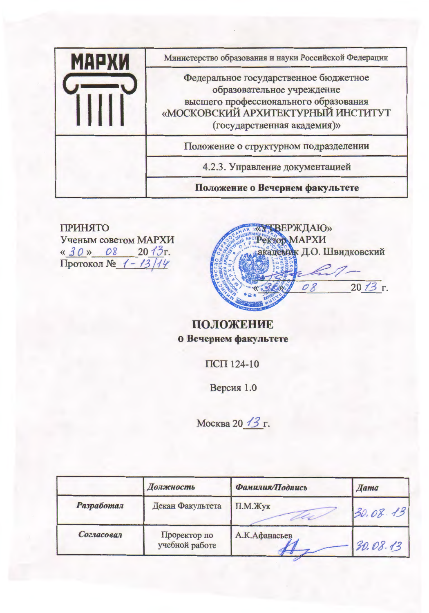| <b>MAPXV</b> | Министерство образования и науки Российской Федерации                                                                                                                             |  |
|--------------|-----------------------------------------------------------------------------------------------------------------------------------------------------------------------------------|--|
|              | Федеральное государственное бюджетное<br>образовательное учреждение<br>высшего профессионального образования<br>«МОСКОВСКИЙ АРХИТЕКТУРНЫЙ ИНСТИТУТ<br>(государственная академия)» |  |
|              | Положение о структурном подразделении                                                                                                                                             |  |
|              | 4.2.3. Управление документацией                                                                                                                                                   |  |
|              | Положение о Вечернем факультете                                                                                                                                                   |  |

**ПРИНЯТО** Ученым советом МАРХИ <u>« 30 » 08 2013</u> г.<br>Протокол № 1 – 13/14



ПОЛОЖЕНИЕ о Вечернем факультете

ПСП 124-10

Версия 1.0

Москва 20 13 г.

|                   | Должность                      | Фамилия/Подпись | <b>Hama</b> |
|-------------------|--------------------------------|-----------------|-------------|
| <b>Разработал</b> | Декан Факультета               | П.М.Жук         | 30.08.13    |
| Согласовал        | Проректор по<br>учебной работе | А.К.Афанасьев   | 30.08.13    |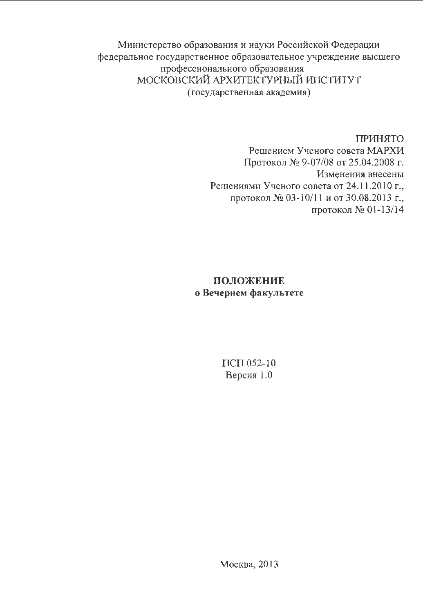Министерство образования и науки Российской Федерации федеральное государственное образовательное учреждение высшего профессионального образования МОСКОВСКИЙ АРХИТЕКТУРНЫЙ ИНСТИТУТ (государственная академия)

> ПРИНЯТО Решением Ученого совета МАРХИ Протокол № 9-07/08 от 25.04.2008 г. Изменения внесены Решениями Ученого совета от 24.11.2010 г., протокол № 03-10/11 и от 30.08.2013 г., протокол № 01-13/14

# ПОЛОЖЕНИЕ о Вечернем факультете

ПСП 052-10 Версия 1.0

Москва, 2013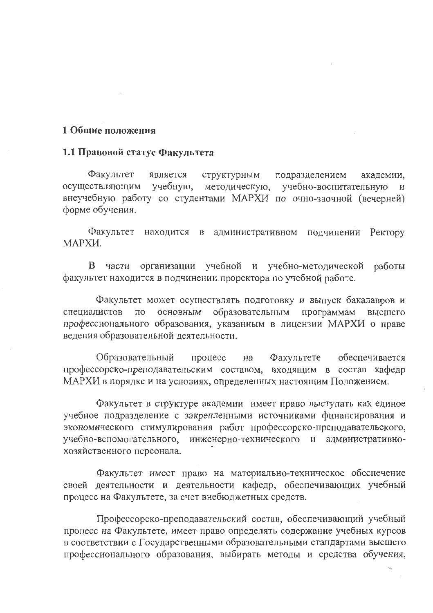#### 1 Общие положения

#### 1.1 Правовой статус Факультета

Факультет является структурным подразделением академии, осуществляющим учебную, методическую, учебно-воспитательную внеучебную работу со студентами МАРХИ по очно-заочной (вечерней) форме обучения.

Факультет находится в административном подчинении Ректору **МАРХИ.** 

В части организации учебной и учебно-методической работы факультет находится в подчинении проректора по учебной работе.

Факультет может осуществлять подготовку и выпуск бакалавров и специалистов основным образовательным программам  $\Pi$ <sup>O</sup> высшего профессионального образования, указанным в лицензии МАРХИ о праве ведения образовательной деятельности.

Образовательный процесс Факультете обеспечивается на профессорско-преподавательским составом, входящим в состав кафедр МАРХИ в порядке и на условиях, определенных настоящим Положением.

Факультет в структуре академии имеет право выступать как единое учебное подразделение с закрепленными источниками финансирования и экономического стимулирования работ профессорско-преподавательского, учебно-вспомогательного, инженерно-технического и административнохозяйственного персонала.

Факультет имеет право на материально-техническое обеспечение своей деятельности и деятельности кафедр, обеспечивающих учебный процесс на Факультете, за счет внебюджетных средств.

Профессорско-преподавательский состав, обеспечивающий учебный процесс на Факультете, имеет право определять содержание учебных курсов в соответствии с Государственными образовательными стандартами высшего профессионального образования, выбирать методы и средства обучения,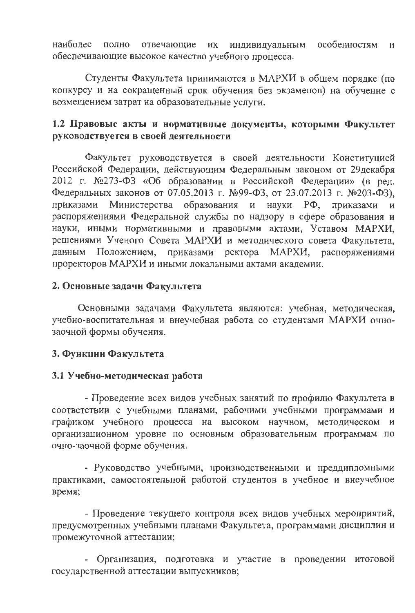наиболее полно отвечающие их индивидуальным особенностям И обеспечивающие высокое качество учебного процесса.

Студенты Факультета принимаются в МАРХИ в общем порядке (по конкурсу и на сокращенный срок обучения без экзаменов) на обучение с возмещением затрат на образовательные услуги.

# 1.2 Правовые акты и нормативные документы, которыми Факультет руководствуется в своей деятельности

Факультет руководствуется в своей деятельности Конституцией Российской Федерации, действующим Федеральным законом от 29 декабря 2012 г. №273-ФЗ «Об образовании в Российской Федерации» (в ред. Федеральных законов от 07.05.2013 г. №99-ФЗ, от 23.07.2013 г. №203-ФЗ), приказами Министерства образования и науки РФ, приказами и распоряжениями Федеральной службы по надзору в сфере образования и науки, иными нормативными и правовыми актами, Уставом МАРХИ, решениями Ученого Совета МАРХИ и методического совета Факультета, Положением, приказами ректора МАРХИ, распоряжениями данным проректоров МАРХИ и иными локальными актами академии.

#### 2. Основные задачи Факультета

Основными задачами Факультета являются: учебная, методическая, учебно-воспитательная и внеучебная работа со студентами МАРХИ очнозаочной формы обучения.

#### 3. Функции Факультета

#### 3.1 Учебно-методическая работа

- Проведение всех видов учебных занятий по профилю Факультета в соответствии с учебными планами, рабочими учебными программами и графиком учебного процесса на высоком научном, методическом и организационном уровне по основным образовательным программам по очно-заочной форме обучения.

- Руководство учебными, производственными и преддипломными практиками, самостоятельной работой студентов в учебное и внеучебное время;

- Проведение текущего контроля всех видов учебных мероприятий, предусмотренных учебными планами Факультета, программами дисциплин и промежуточной аттестации;

- Организация, подготовка и участие в проведении итоговой государственной аттестации выпускников;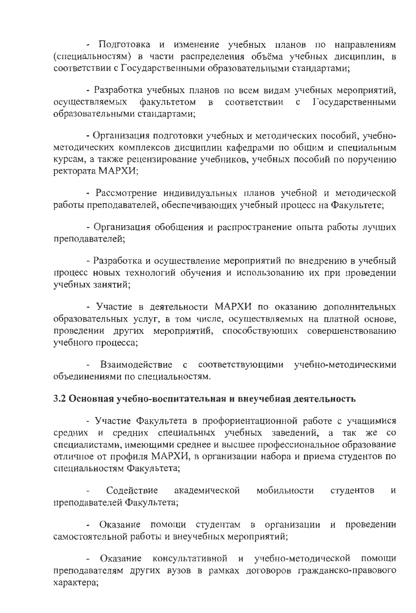- Подготовка и изменение учебных планов по направлениям (специальностям) в части распределения объёма учебных дисциплин, в соответствии с Государственными образовательными стандартами;

- Разработка учебных планов по всем видам учебных мероприятий, Государственными осуществляемых факультетом соответствии  $\mathbf{B}$  $\mathbf{c}$ образовательными стандартами;

- Организация подготовки учебных и методических пособий, учебнометодических комплексов дисциплин кафедрами по общим и специальным курсам, а также рецензирование учебников, учебных пособий по поручению ректората МАРХИ:

- Рассмотрение индивидуальных планов учебной и методической работы преподавателей, обеспечивающих учебный процесс на Факультете;

- Организация обобщения и распространение опыта работы лучших преподавателей;

- Разработка и осуществление мероприятий по внедрению в учебный процесс новых технологий обучения и использованию их при проведении учебных занятий;

- Участие в деятельности МАРХИ по оказанию дополнительных образовательных услуг, в том числе, осуществляемых на платной основе, проведении других мероприятий, способствующих совершенствованию учебного процесса;

соответствующими учебно-методическими Взаимодействие с объединениями по специальностям.

#### 3.2 Основная учебно-воспитательная и внеучебная деятельность

- Участие Факультета в профориентационной работе с учащимися средних и средних специальных учебных заведений, а так же со специалистами, имеющими среднее и высшее профессиональное образование отличное от профиля МАРХИ, в организации набора и приема студентов по специальностям Факультета;

Солействие академической мобильности студентов И преподавателей Факультета;

- Оказание помощи студентам в организации проведении  $\mathbf{H}$ самостоятельной работы и внеучебных мероприятий;

Оказание консультативной и учебно-методической помощи преподавателям других вузов в рамках договоров гражданско-правового характера;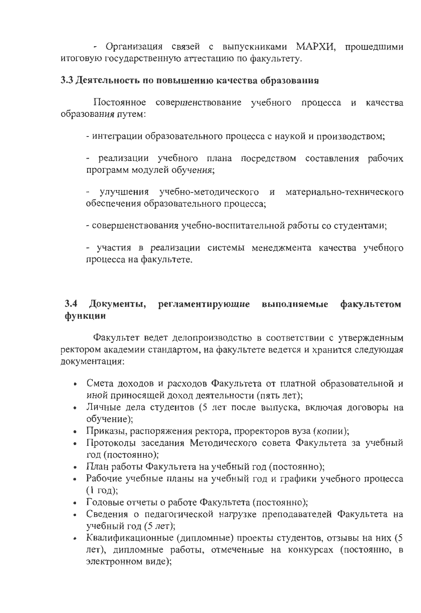- Организация связей с выпускниками МАРХИ, прошедшими итоговую государственную аттестацию по факультету.

# 3.3 Деятельность по повышению качества образования

Постоянное совершенствование учебного процесса и качества образования путем:

- интеграции образовательного процесса с наукой и производством;

- реализации учебного плана посредством составления рабочих программ модулей обучения;

- улучшения учебно-методического и материально-технического обеспечения образовательного процесса;

- совершенствования учебно-воспитательной работы со студентами;

- участия в реализации системы менеджмента качества учебного процесса на факультете.

#### 3.4 Документы, регламентирующие выполняемые факультетом функции

Факультет ведет делопроизводство в соответствии с утвержденным ректором академии стандартом, на факультете ведется и хранится следующая документация:

- Смета доходов и расходов Факультета от платной образовательной и иной приносящей доход деятельности (пять лет);
- Личные дела студентов (5 лет после выпуска, включая договоры на обучение);
- Приказы, распоряжения ректора, проректоров вуза (копии);
- Протоколы заседания Методического совета Факультета за учебный год (постоянно);
- План работы Факультета на учебный год (постоянно);
- Рабочие учебные планы на учебный год и графики учебного процесса  $(1 \text{ год})$ ;
- Годовые отчеты о работе Факультета (постоянно);
- Сведения о педагогической нагрузке преподавателей Факультета на учебный год (5 лет);
- Квалификационные (дипломные) проекты студентов, отзывы на них (5 лет), дипломные работы, отмеченные на конкурсах (постоянно, в электронном виде);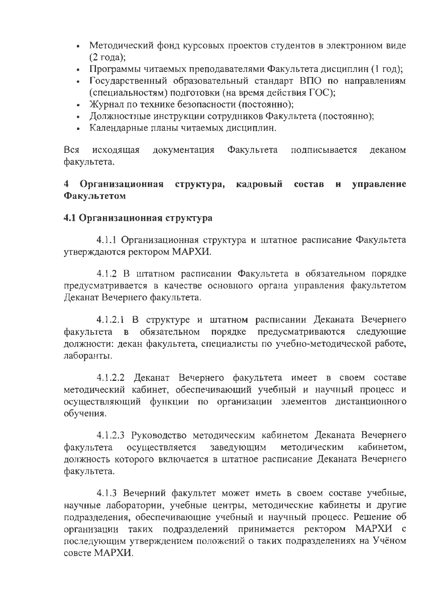- Методический фонд курсовых проектов студентов в электронном виде  $\bullet$  $(2 \text{ года});$
- Программы читаемых преподавателями Факультета дисциплин (1 год);
- Государственный образовательный стандарт ВПО по направлениям (специальностям) подготовки (на время действия ГОС);
- Журнал по технике безопасности (постоянно);
- Должностные инструкции сотрудников Факультета (постоянно);
- Календарные планы читаемых дисциплин.

Вся исходящая документация Факультета подписывается деканом факультета.

#### $\overline{4}$ **Организационная** структура, кадровый управление состав  $\mathbf{H}$ Факультетом

# 4.1 Организационная структура

4.1.1 Организационная структура и штатное расписание Факультета утверждаются ректором МАРХИ.

4.1.2 В штатном расписании Факультета в обязательном порядке предусматривается в качестве основного органа управления факультетом Деканат Вечернего факультета.

4.1.2.1 В структуре и штатном расписании Деканата Вечернего обязательном предусматриваются следующие порядке **факультета**  $\mathbf{B}$ должности: декан факультета, специалисты по учебно-методической работе, лаборанты.

4.1.2.2 Деканат Вечернего факультета имеет в своем составе методический кабинет, обеспечивающий учебный и научный процесс и осуществляющий функции по организации элементов дистанционного обучения.

4.1.2.3 Руководство методическим кабинетом Деканата Вечернего кабинетом, осуществляется заведующим методическим факультета должность которого включается в штатное расписание Деканата Вечернего факультета.

4.1.3 Вечерний факультет может иметь в своем составе учебные, научные лаборатории, учебные центры, методические кабинеты и другие подразделения, обеспечивающие учебный и научный процесс. Решение об организации таких подразделений принимается ректором МАРХИ с последующим утверждением положений о таких подразделениях на Учёном совете МАРХИ.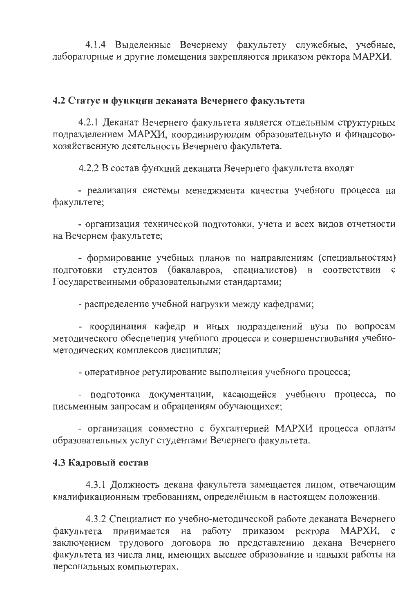4.1.4 Выделенные Вечернему факультету служебные, учебные, лабораторные и другие помещения закрепляются приказом ректора МАРХИ.

#### 4.2 Статус и функции деканата Вечернего факультета

4.2.1 Деканат Вечернего факультета является отдельным структурным подразделением МАРХИ, координирующим образовательную и финансовохозяйственную деятельность Вечернего факультета.

4.2.2 В состав функций деканата Вечернего факультета входят

- реализация системы менеджмента качества учебного процесса на факультете;

- организация технической подготовки, учета и всех видов отчетности на Вечернем факультете;

- формирование учебных планов по направлениям (специальностям) подготовки студентов (бакалавров, специалистов) в соответствии с Государственными образовательными стандартами;

- распределение учебной нагрузки между кафедрами;

- координация кафедр и иных подразделений вуза по вопросам методического обеспечения учебного процесса и совершенствования учебнометодических комплексов дисциплин;

- оперативное регулирование выполнения учебного процесса;

- подготовка документации, касающейся учебного процесса, по письменным запросам и обращениям обучающихся;

- организация совместно с бухгалтерией МАРХИ процесса оплаты образовательных услуг студентами Вечернего факультета.

#### 4.3 Кадровый состав

4.3.1 Должность декана факультета замещается лицом, отвечающим квалификационным требованиям, определённым в настоящем положении.

4.3.2 Специалист по учебно-методической работе деканата Вечернего факультета принимается на работу приказом ректора МАРХИ, заключением трудового договора по представлению декана Вечернего факультета из числа лиц, имеющих высшее образование и навыки работы на персональных компьютерах.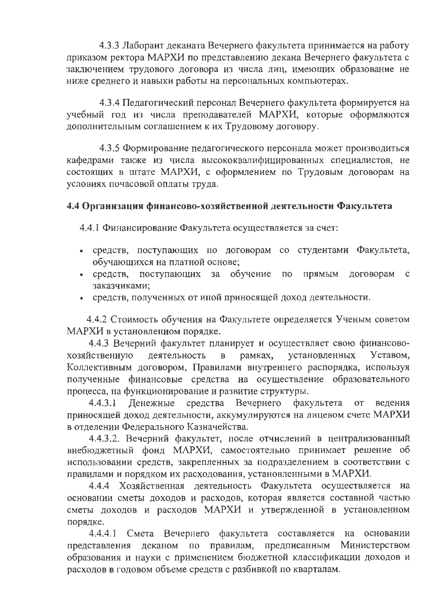4.3.3 Лаборант деканата Вечернего факультета принимается на работу приказом ректора МАРХИ по представлению декана Вечернего факультета с заключением трудового договора из числа лиц, имеющих образование не ниже среднего и навыки работы на персональных компьютерах.

4.3.4 Педагогический персонал Вечернего факультета формируется на учебный год из числа преподавателей МАРХИ, которые оформляются дополнительным соглашением к их Трудовому договору.

4.3.5 Формирование педагогического персонала может производиться кафедрами также из числа высококвалифицированных специалистов, не состоящих в штате МАРХИ, с оформлением по Трудовым договорам на условиях почасовой оплаты труда.

# 4.4 Организация финансово-хозяйственной деятельности Факультета

4.4.1 Финансирование Факультета осуществляется за счет:

- средств, поступающих по договорам со студентами Факультета, обучающихся на платной основе;
- поступающих • средств, за обучение  $\overline{10}$ прямым договорам  $\mathbf{c}$ заказчиками;
- средств, полученных от иной приносящей доход деятельности.

4.4.2 Стоимость обучения на Факультете определяется Ученым советом МАРХИ в установленном порядке.

4.4.3 Вечерний факультет планирует и осуществляет свою финансовохозяйственную деятельность  $\mathbf{B}$ рамках, установленных Уставом, Коллективным договором, Правилами внутреннего распорядка, используя полученные финансовые средства на осуществление образовательного процесса, на функционирование и развитие структуры.

Денежные средства Вечернего факультета  $4.4.3.1$ **OT** ведения приносящей доход деятельности, аккумулируются на лицевом счете МАРХИ в отделении Федерального Казначейства.

4.4.3.2. Вечерний факультет, после отчислений в централизованный внебюджетный фонд МАРХИ, самостоятельно принимает решение об использовании средств, закрепленных за подразделением в соответствии с правилами и порядком их расходования, установленными в МАРХИ.

4.4.4 Хозяйственная деятельность Факультета осуществляется на основании сметы доходов и расходов, которая является составной частью сметы доходов и расходов МАРХИ и утвержденной в установленном порядке.

 $4.4.4.1$ Смета Вечернего факультета составляется на основании представления деканом по правилам, предписанным Министерством образования и науки с применением бюджетной классификации доходов и расходов в годовом объеме средств с разбивкой по кварталам.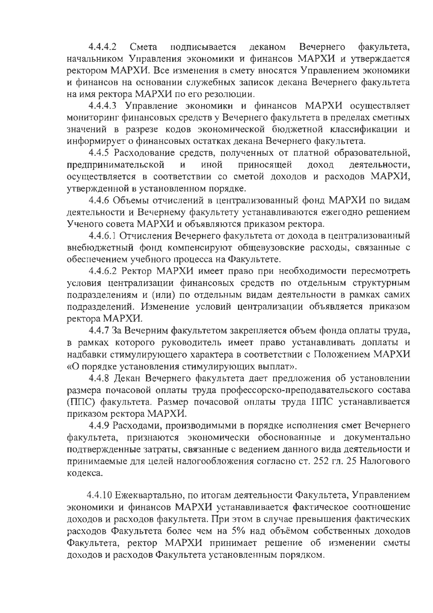$4.4.4.2$ Смета подписывается деканом Вечернего факультета, начальником Управления экономики и финансов МАРХИ и утверждается ректором МАРХИ. Все изменения в смету вносятся Управлением экономики и финансов на основании служебных записок декана Вечернего факультета на имя ректора МАРХИ по его резолюции.

4.4.4.3 Управление экономики и финансов МАРХИ осуществляет мониторинг финансовых средств у Вечернего факультета в пределах сметных значений в разрезе кодов экономической бюджетной классификации и информирует о финансовых остатках декана Вечернего факультета.

4.4.5 Расходование средств, полученных от платной образовательной, приносящей предпринимательской  $\mathbf{H}$ иной доход деятельности. осуществляется в соответствии со сметой доходов и расходов МАРХИ, утвержденной в установленном порядке.

4.4.6 Объемы отчислений в централизованный фонд МАРХИ по видам деятельности и Вечернему факультету устанавливаются ежегодно решением Ученого совета МАРХИ и объявляются приказом ректора.

4.4.6.1 Отчисления Вечернего факультета от дохода в централизованный внебюджетный фонд компенсируют общевузовские расходы, связанные с обеспечением учебного процесса на Факультете.

4.4.6.2 Ректор МАРХИ имеет право при необходимости пересмотреть условия централизации финансовых средств по отдельным структурным подразделениям и (или) по отдельным видам деятельности в рамках самих подразделений. Изменение условий централизации объявляется приказом ректора МАРХИ.

4.4.7 За Вечерним факультетом закрепляется объем фонда оплаты труда, в рамках которого руководитель имеет право устанавливать доплаты и надбавки стимулирующего характера в соответствии с Положением МАРХИ «О порядке установления стимулирующих выплат».

4.4.8 Декан Вечернего факультета дает предложения об установлении размера почасовой оплаты труда профессорско-преподавательского состава (ППС) факультета. Размер почасовой оплаты труда ППС устанавливается приказом ректора МАРХИ.

4.4.9 Расходами, производимыми в порядке исполнения смет Вечернего факультета, признаются экономически обоснованные и документально подтвержденные затраты, связанные с ведением данного вида деятельности и принимаемые для целей налогообложения согласно ст. 252 гл. 25 Налогового кодекса.

4.4.10 Ежеквартально, по итогам деятельности Факультета, Управлением экономики и финансов МАРХИ устанавливается фактическое соотношение доходов и расходов факультета. При этом в случае превышения фактических расходов Факультета более чем на 5% над объёмом собственных доходов Факультета, ректор МАРХИ принимает решение об изменении сметы доходов и расходов Факультета установленным порядком.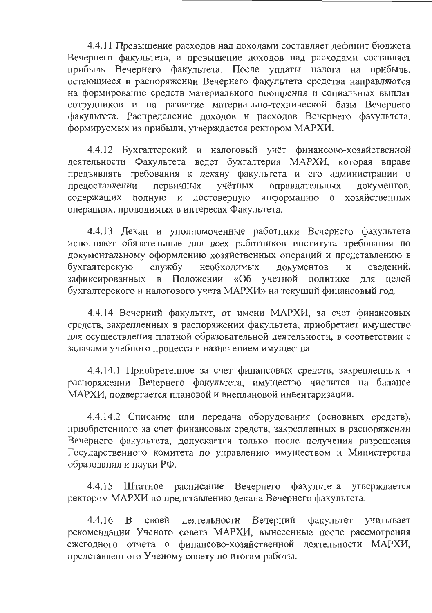4.4.11 Превышение расходов над доходами составляет дефицит бюджета Вечернего факультета, а превышение доходов над расходами составляет прибыль Вечернего факультета. После уплаты налога на прибыль, остающиеся в распоряжении Вечернего факультета средства направляются на формирование средств материального поощрения и социальных выплат сотрудников и на развитие материально-технической базы Вечернего факультета. Распределение доходов и расходов Вечернего факультета, формируемых из прибыли, утверждается ректором МАРХИ.

4.4.12 Бухгалтерский и налоговый учёт финансово-хозяйственной деятельности Факультета ведет бухгалтерия МАРХИ, которая вправе предъявлять требования к декану факультета и его администрации о учётных оправдательных документов, предоставлении первичных содержащих полную и достоверную информацию о хозяйственных операциях, проводимых в интересах Факультета.

4.4.13 Декан и уполномоченные работники Вечернего факультета исполняют обязательные для всех работников института требования по документальному оформлению хозяйственных операций и представлению в службу необходимых документов сведений, бухгалтерскую  $\mathbf{H}$ зафиксированных в Положении «Об учетной политике для целей бухгалтерского и налогового учета МАРХИ» на текущий финансовый год.

4.4.14 Вечерний факультет, от имени МАРХИ, за счет финансовых средств, закрепленных в распоряжении факультета, приобретает имущество для осуществления платной образовательной деятельности, в соответствии с задачами учебного процесса и назначением имущества.

4.4.14.1 Приобретенное за счет финансовых средств, закрепленных в распоряжении Вечернего факультета, имущество числится на балансе МАРХИ, подвергается плановой и внеплановой инвентаризации.

4.4.14.2 Списание или передача оборудования (основных средств), приобретенного за счет финансовых средств, закрепленных в распоряжении Вечернего факультета, допускается только после получения разрешения Государственного комитета по управлению имуществом и Министерства образования и науки РФ.

4.4.15 Штатное расписание Вечернего факультета утверждается ректором МАРХИ по представлению декана Вечернего факультета.

деятельности Вечерний факультет 4.4.16 B своей учитывает рекомендации Ученого совета МАРХИ, вынесенные после рассмотрения ежегодного отчета о финансово-хозяйственной деятельности МАРХИ, представленного Ученому совету по итогам работы.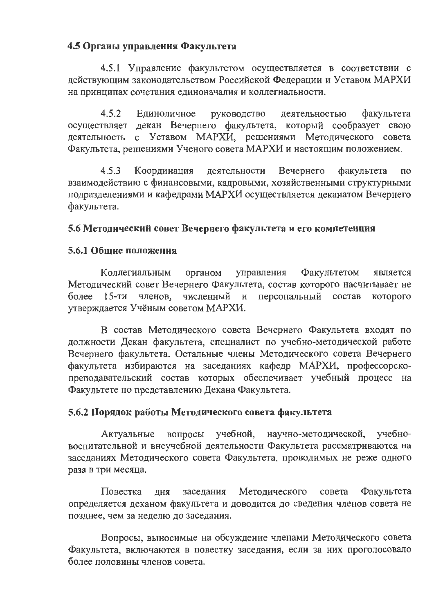# 4.5 Органы управлення Факультета

4.5.1 Управление факультетом осуществляется в соответствии с действующим законодательством Российской Федерации и Уставом МАРХИ на принципах сочетания единоначалия и коллегиальности.

 $4.5.2$ Единоличное руководство деятельностью факультета осуществляет декан Вечернего факультета, который сообразует свою с Уставом МАРХИ, решениями Методического совета деятельность Факультета, решениями Ученого совета МАРХИ и настоящим положением.

 $4.5.3$ Координация деятельности Вечернего факультета  $\overline{10}$ взаимодействию с финансовыми, кадровыми, хозяйственными структурными подразделениями и кафедрами МАРХИ осуществляется деканатом Вечернего факультета.

# 5.6 Методический совет Вечернего факультета и его компетенция

# 5.6.1 Общие положения

Коллегиальным органом управления Факультетом является Методический совет Вечернего Факультета, состав которого насчитывает не более 15-ти членов. численный и персональный состав которого утверждается Учёным советом МАРХИ.

В состав Методического совета Вечернего Факультета входят по должности Декан факультета, специалист по учебно-методической работе Вечернего факультета. Остальные члены Методического совета Вечернего факультета избираются на заседаниях кафедр МАРХИ, профессорскопреподавательский состав которых обеспечивает учебный процесс на Факультете по представлению Декана Факультета.

# 5.6.2 Порядок работы Методического совета факультета

вопросы учебной, научно-методической, учебно-Актуальные воспитательной и внеучебной деятельности Факультета рассматриваются на заседаниях Методического совета Факультета, проводимых не реже одного раза в три месяца.

Повестка Методического Факультета лня заседания совета определяется деканом факультета и доводится до сведения членов совета не позднее, чем за неделю до заседания.

Вопросы, выносимые на обсуждение членами Методического совета Факультета, включаются в повестку заседания, если за них проголосовало более половины членов совета.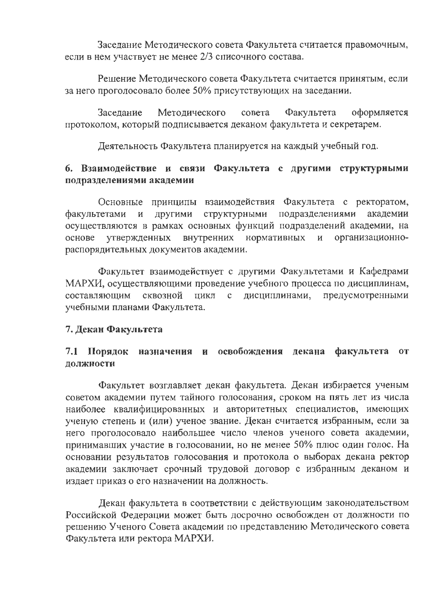Заседание Методического совета Факультета считается правомочным, если в нем участвует не менее 2/3 списочного состава.

Решение Методического совета Факультета считается принятым, если за него проголосовало более 50% присутствующих на заседании.

Методического Заселание совета Факультета оформляется протоколом, который подписывается деканом факультета и секретарем.

Деятельность Факультета планируется на каждый учебный год.

### 6. Взаимодействие и связи Факультета с другими структурными подразделениями академии

Основные принципы взаимодействия Факультета с ректоратом, структурными подразделениями факультетами ДРУГИМИ академии  $\mathbf{M}$ осуществляются в рамках основных функций подразделений академии, на үтвержденных внутренних нормативных организационнооснове  $\mathbf{M}$ распорядительных документов академии.

Факультет взаимодействует с другими Факультетами и Кафедрами МАРХИ, осуществляющими проведение учебного процесса по дисциплинам, составляющим сквозной цикл  $\mathbf{C}$ дисциплинами, предусмотренными учебными планами Факультета.

# 7. Декан Факультета

#### назначения и освобождения декана факультета 7.1 Порядок  $-$  OT должности

Факультет возглавляет декан факультета. Декан избирается ученым советом академии путем тайного голосования, сроком на пять лет из числа наиболее квалифицированных и авторитетных специалистов, имеющих ученую степень и (или) ученое звание. Декан считается избранным, если за него проголосовало наибольшее число членов ученого совета академии, принимавших участие в голосовании, но не менее 50% плюс один голос. На основании результатов голосования и протокола о выборах декана ректор академии заключает срочный трудовой договор с избранным деканом и издает приказ о его назначении на должность.

Декан факультета в соответствии с действующим законодательством Российской Федерации может быть досрочно освобожден от должности по решению Ученого Совета академии по представлению Методического совета Факультета или ректора МАРХИ.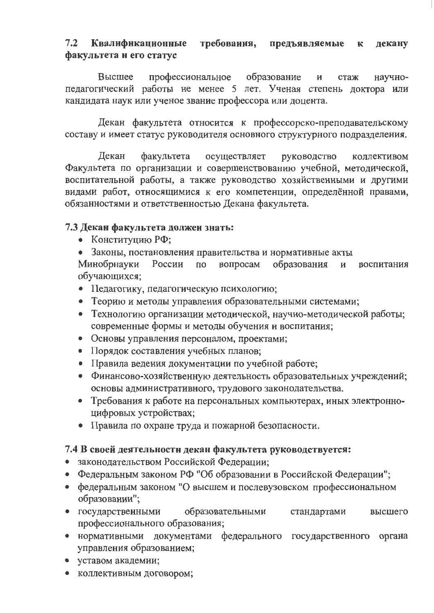#### требоваиия,  $7.2$ Квалификационные предъявляемые  $\mathbf{K}$ декану факультета и его статус

Высшее профессиональное образование стаж научно- $\mathbf{H}$ педагогический работы не менее 5 лет. Ученая степень доктора или кандидата наук или ученое звание профессора или доцента.

Декан факультета относится к профессорско-преподавательскому составу и имеет статус руководителя основного структурного подразделения.

Декан факультета осуществляет руководство коллективом Факультета по организации и совершенствованию учебной, методической, воспитательной работы, а также руководство хозяйственными и другими видами работ, относящимися к его компетенции, определённой правами, обязанностями и ответственностью Декана факультета.

# 7.3 Декан факультета должен знать:

- Конституцию РФ;
- Законы, постановления правительства и нормативные акты

Минобрнауки России  $\overline{0}$ вопросам образования И воспитания обучающихся;

- Педагогику, педагогическую психологию;
- Теорию и методы управления образовательными системами;
- Технологию организации методической, научно-методической работы; современные формы и методы обучения и воспитания;
- Основы управления персоналом, проектами;
- Порядок составления учебных планов;
- Правила ведения документации по учебной работе;
- Финансово-хозяйственную деятельность образовательных учреждений; основы административного, трудового законодательства.
- Требования к работе на персональных компьютерах, иных электронноцифровых устройствах;
- Правила по охране труда и пожарной безопасности.

#### 7.4 В своей деятельности декан факультета руководствуется:

- законодательством Российской Федерации;
- Федеральным законом РФ "Об образовании в Российской Федерации";
- федеральным законом "О высшем и послевузовском профессиональном образовании";
- образовательными • государственными стандартами высшего профессионального образования;
- нормативными документами федерального государственного органа управления образованием;
- уставом академии;
- коллективным договором;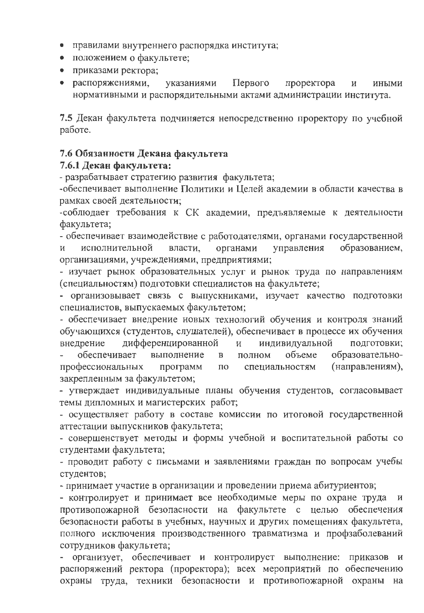- правилами внутреннего распорядка института;
- положением о факультете;
- приказами ректора;
- распоряжениями, указаниями Первого проректора И ИНЫМИ нормативными и распорядительными актами администрации института.

7.5 Декан факультета подчиняется непосредственно проректору по учебной работе.

# 7.6 Обязанности Декана факультета

# 7.6.1 Декан факультета:

- разрабатывает стратегию развития факультета;

-обеспечивает выполнение Политики и Целей академии в области качества в рамках своей деятельности;

-соблюдает требования к СК академии, предъявляемые к деятельности факультета;

- обеспечивает взаимодействие с работодателями, органами государственной управления образованием, исполнительной власти. органами  $\mathbf{M}$ организациями, учреждениями, предприятиями;

- изучает рынок образовательных услуг и рынок труда по направлениям (специальностям) подготовки специалистов на факультете;

- организовывает связь с выпускниками, изучает качество подготовки специалистов, выпускаемых факультетом;

- обеспечивает внедрение новых технологий обучения и контроля знаний обучающихся (студентов, слушателей), обеспечивает в процессе их обучения внедрение дифференцированной И индивидуальной подготовки; объеме образовательнообеспечивает выполнение  $\mathbf{B}$ полном профессиональных специальностям (направлениям), программ  $\Pi$ <sup>O</sup>

закрепленным за факультетом;

- утверждает индивидуальные планы обучения студентов, согласовывает темы дипломных и магистерских работ;

- осуществляет работу в составе комиссии по итоговой государственной аттестации выпускников факультета;

- совершенствует методы и формы учебной и воспитательной работы со студентами факультета;

- проводит работу с письмами и заявлениями граждан по вопросам учебы студентов;

- принимает участие в организации и проведении приема абитуриентов;

- контролирует и принимает все необходимые меры по охране труда И противопожарной безопасности на факультете с целью обеспечения безопасности работы в учебных, научных и других помещениях факультета, полного исключения производственного травматизма и профзаболеваний сотрудников факультета;

- организует, обеспечивает и контролирует выполнение: приказов  $\boldsymbol{\mathrm{M}}$ распоряжений ректора (проректора); всех мероприятий по обеспечению охраны труда, техники безопасности и противопожарной охраны на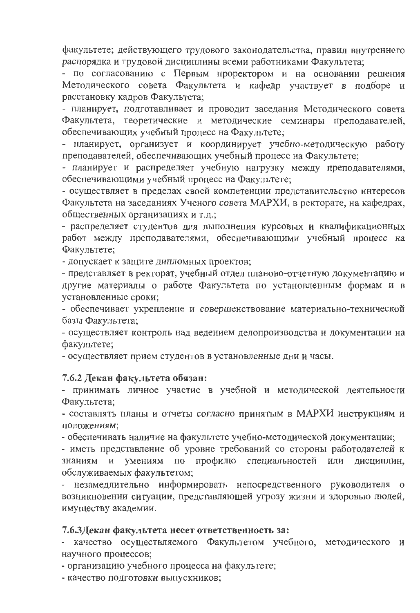факультете; действующего трудового законодательства, правил внутреннего распорядка и трудовой дисциплины всеми работниками Факультета;

- по согласованию с Первым проректором и на основании решения Методического совета Факультета и кафедр участвует в подборе и расстановку кадров Факультета;

- планирует, подготавливает и проводит заседания Методического совета Факультета, теоретические и методические семинары преподавателей, обеспечивающих учебный процесс на Факультете;

- планирует, организует и координирует учебно-методическую работу преподавателей, обеспечивающих учебный процесс на Факультете;

- планирует и распределяет учебную нагрузку между преподавателями, обеспечивающими учебный процесс на Факультете;

- осуществляет в пределах своей компетенции представительство интересов Факультета на заседаниях Ученого совета МАРХИ, в ректорате, на кафедрах, общественных организациях и т.д.;

- распределяет студентов для выполнения курсовых и квалификационных работ между преподавателями, обеспечивающими учебный процесс на Факультете:

- допускает к защите дипломных проектов;

- представляет в ректорат, учебный отдел планово-отчетную документацию и другие материалы о работе Факультета по установленным формам и в установленные сроки;

- обеспечивает укрепление и совершенствование материально-технической базы Факультета;

- осуществляет контроль над ведением делопроизводства и документации на факультете;

- осуществляет прием студентов в установленные дни и часы.

#### 7.6.2 Декан факультета обязан:

- принимать личное участие в учебной и методической деятельности Факультета;

- составлять планы и отчеты согласно принятым в МАРХИ инструкциям и положениям:

- обеспечивать наличие на факультете учебно-методической документации;

- иметь представление об уровне требований со стороны работодателей к профилю специальностей умениям или дисциплин, знаниям и  $\overline{10}$ обслуживаемых факультетом;

- незамедлительно информировать непосредственного руководителя о возникновении ситуации, представляющей угрозу жизни и здоровью людей, имуществу академии.

#### 7.6.3 Декан факультета несет ответственность за:

- качество осуществляемого Факультетом учебного, методического и научного процессов;

- организацию учебного процесса на факультете;

- качество подготовки выпускников;